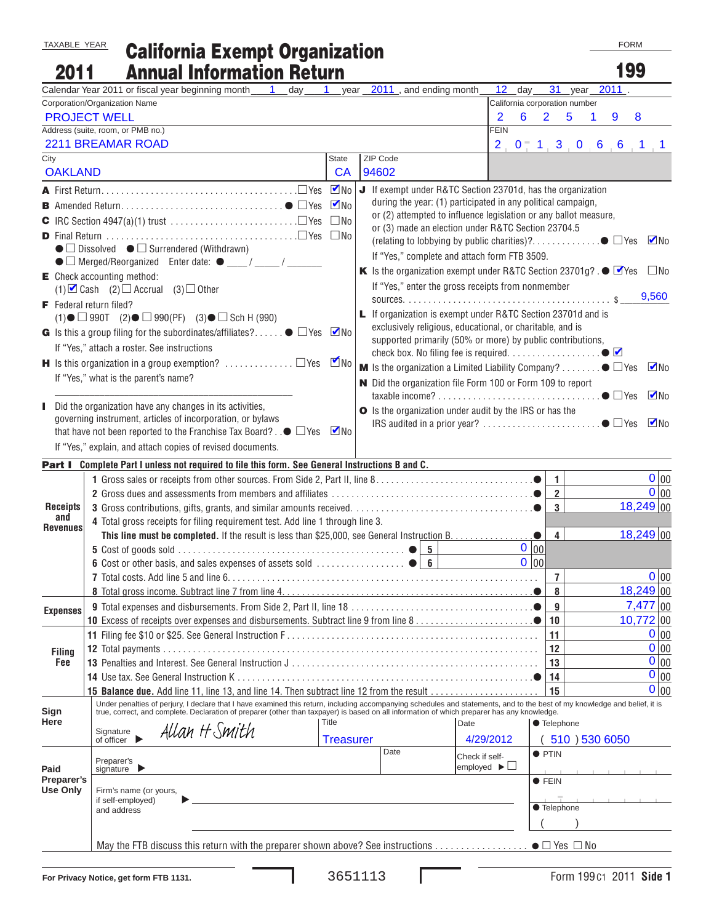TAXABLE YEAR

## California Exempt Organization Annual Information Return

FORM

| 2011                                                                                                                                                    | <b>Annual Information Return</b>                                                                                                                                                                                                                                                                                          |                    |                                                                                                  |  |                                                                  |      |                                |                               |                        | 199         |           |  |
|---------------------------------------------------------------------------------------------------------------------------------------------------------|---------------------------------------------------------------------------------------------------------------------------------------------------------------------------------------------------------------------------------------------------------------------------------------------------------------------------|--------------------|--------------------------------------------------------------------------------------------------|--|------------------------------------------------------------------|------|--------------------------------|-------------------------------|------------------------|-------------|-----------|--|
|                                                                                                                                                         | Calendar Year 2011 or fiscal year beginning month 1<br>day                                                                                                                                                                                                                                                                | -1                 | year 2011, and ending month                                                                      |  | 12                                                               | day  | 31                             |                               | year $\overline{2011}$ |             |           |  |
|                                                                                                                                                         | Corporation/Organization Name                                                                                                                                                                                                                                                                                             |                    |                                                                                                  |  |                                                                  |      |                                | California corporation number |                        |             |           |  |
|                                                                                                                                                         | <b>PROJECT WELL</b>                                                                                                                                                                                                                                                                                                       |                    |                                                                                                  |  | 2                                                                | 6    | $\overline{2}$                 | 5<br>1                        | 9                      | 8           |           |  |
|                                                                                                                                                         | Address (suite, room, or PMB no.)                                                                                                                                                                                                                                                                                         |                    |                                                                                                  |  | <b>FEIN</b>                                                      |      |                                |                               |                        |             |           |  |
|                                                                                                                                                         | 2211 BREAMAR ROAD                                                                                                                                                                                                                                                                                                         |                    |                                                                                                  |  |                                                                  |      |                                | $2$ 0 1 3 0 6 6 1 1           |                        |             |           |  |
| City<br><b>OAKLAND</b>                                                                                                                                  |                                                                                                                                                                                                                                                                                                                           | State<br><b>CA</b> | ZIP Code<br>94602                                                                                |  |                                                                  |      |                                |                               |                        |             |           |  |
|                                                                                                                                                         |                                                                                                                                                                                                                                                                                                                           |                    | J If exempt under R&TC Section 23701d, has the organization                                      |  |                                                                  |      |                                |                               |                        |             |           |  |
|                                                                                                                                                         |                                                                                                                                                                                                                                                                                                                           |                    |                                                                                                  |  | during the year: (1) participated in any political campaign,     |      |                                |                               |                        |             |           |  |
|                                                                                                                                                         |                                                                                                                                                                                                                                                                                                                           | $\nabla$ No        |                                                                                                  |  | or (2) attempted to influence legislation or any ballot measure, |      |                                |                               |                        |             |           |  |
|                                                                                                                                                         |                                                                                                                                                                                                                                                                                                                           |                    |                                                                                                  |  | or (3) made an election under R&TC Section 23704.5               |      |                                |                               |                        |             |           |  |
|                                                                                                                                                         |                                                                                                                                                                                                                                                                                                                           |                    |                                                                                                  |  |                                                                  |      |                                |                               |                        |             |           |  |
| $\bullet$ $\square$ Dissolved $\bullet$ $\square$ Surrendered (Withdrawn)<br>$\bullet$ $\Box$ Merged/Reorganized Enter date: $\bullet$ ___/ ____/ _____ |                                                                                                                                                                                                                                                                                                                           |                    | If "Yes," complete and attach form FTB 3509.                                                     |  |                                                                  |      |                                |                               |                        |             |           |  |
|                                                                                                                                                         | $\mathsf{E}$ Check accounting method:                                                                                                                                                                                                                                                                                     |                    | K Is the organization exempt under R&TC Section 23701g? . $\bullet$ $\blacksquare$ Yes $\Box$ No |  |                                                                  |      |                                |                               |                        |             |           |  |
| (1) $\Box$ Cash (2) $\Box$ Accrual (3) $\Box$ Other                                                                                                     |                                                                                                                                                                                                                                                                                                                           |                    |                                                                                                  |  | If "Yes," enter the gross receipts from nonmember                |      |                                |                               |                        |             |           |  |
|                                                                                                                                                         | <b>F</b> Federal return filed?                                                                                                                                                                                                                                                                                            |                    |                                                                                                  |  |                                                                  |      |                                | 9,560                         |                        |             |           |  |
|                                                                                                                                                         | $(1)$ $\bullet$ $\Box$ 990T $(2)$ $\bullet$ $\Box$ 990(PF) $(3)$ $\bullet$ $\Box$ Sch H (990)                                                                                                                                                                                                                             |                    | L If organization is exempt under R&TC Section 23701d and is                                     |  |                                                                  |      |                                |                               |                        |             |           |  |
|                                                                                                                                                         | G Is this a group filing for the subordinates/affiliates? $\bullet$ $\Box$ Yes $\blacksquare$ No                                                                                                                                                                                                                          |                    |                                                                                                  |  | exclusively religious, educational, or charitable, and is        |      |                                |                               |                        |             |           |  |
|                                                                                                                                                         | If "Yes," attach a roster. See instructions                                                                                                                                                                                                                                                                               |                    |                                                                                                  |  | supported primarily (50% or more) by public contributions,       |      |                                |                               |                        |             |           |  |
|                                                                                                                                                         | <b>H</b> Is this organization in a group exemption? $\ldots \ldots \ldots \square$ Yes                                                                                                                                                                                                                                    | $\n  M$            | <b>M</b> Is the organization a Limited Liability Company? $\bullet$ $\Box$ Yes $\blacksquare$ No |  |                                                                  |      |                                |                               |                        |             |           |  |
|                                                                                                                                                         | If "Yes," what is the parent's name?                                                                                                                                                                                                                                                                                      |                    | N Did the organization file Form 100 or Form 109 to report                                       |  |                                                                  |      |                                |                               |                        |             |           |  |
|                                                                                                                                                         |                                                                                                                                                                                                                                                                                                                           |                    |                                                                                                  |  |                                                                  |      |                                |                               |                        |             |           |  |
|                                                                                                                                                         | Did the organization have any changes in its activities,                                                                                                                                                                                                                                                                  |                    | O Is the organization under audit by the IRS or has the                                          |  |                                                                  |      |                                |                               |                        |             |           |  |
|                                                                                                                                                         | governing instrument, articles of incorporation, or bylaws                                                                                                                                                                                                                                                                |                    |                                                                                                  |  |                                                                  |      |                                |                               |                        |             |           |  |
|                                                                                                                                                         | that have not been reported to the Franchise Tax Board? $\bullet$ $\Box$ Yes                                                                                                                                                                                                                                              | $\nabla$ No        |                                                                                                  |  |                                                                  |      |                                |                               |                        |             |           |  |
|                                                                                                                                                         | If "Yes," explain, and attach copies of revised documents.                                                                                                                                                                                                                                                                |                    |                                                                                                  |  |                                                                  |      |                                |                               |                        |             |           |  |
|                                                                                                                                                         | <b>Part I</b> Complete Part I unless not required to file this form. See General Instructions B and C.                                                                                                                                                                                                                    |                    |                                                                                                  |  |                                                                  |      |                                |                               |                        |             |           |  |
|                                                                                                                                                         |                                                                                                                                                                                                                                                                                                                           |                    |                                                                                                  |  |                                                                  |      | $\mathbf{1}$                   |                               |                        |             | 0 00      |  |
|                                                                                                                                                         |                                                                                                                                                                                                                                                                                                                           |                    |                                                                                                  |  |                                                                  |      | $\overline{2}$<br>$\mathbf{3}$ |                               |                        | $18,249$ 00 | 0 00      |  |
| <b>Receipts</b><br>and                                                                                                                                  |                                                                                                                                                                                                                                                                                                                           |                    |                                                                                                  |  |                                                                  |      |                                |                               |                        |             |           |  |
| Revenues                                                                                                                                                | 4 Total gross receipts for filing requirement test. Add line 1 through line 3.                                                                                                                                                                                                                                            |                    |                                                                                                  |  |                                                                  |      | $\overline{4}$                 |                               |                        | $18,249$ 00 |           |  |
|                                                                                                                                                         |                                                                                                                                                                                                                                                                                                                           |                    |                                                                                                  |  |                                                                  | 0 00 |                                |                               |                        |             |           |  |
|                                                                                                                                                         |                                                                                                                                                                                                                                                                                                                           |                    |                                                                                                  |  |                                                                  | 0 00 |                                |                               |                        |             |           |  |
|                                                                                                                                                         |                                                                                                                                                                                                                                                                                                                           |                    |                                                                                                  |  |                                                                  |      | $\overline{7}$                 |                               |                        |             | 0 00      |  |
|                                                                                                                                                         |                                                                                                                                                                                                                                                                                                                           |                    |                                                                                                  |  |                                                                  |      | 8                              |                               |                        | $18,249$ 00 |           |  |
| <b>Expenses</b>                                                                                                                                         |                                                                                                                                                                                                                                                                                                                           |                    |                                                                                                  |  |                                                                  |      | 9                              |                               |                        | $7,477$ 00  |           |  |
|                                                                                                                                                         |                                                                                                                                                                                                                                                                                                                           |                    |                                                                                                  |  |                                                                  |      | 10                             |                               |                        | $10,772$ 00 |           |  |
|                                                                                                                                                         |                                                                                                                                                                                                                                                                                                                           |                    |                                                                                                  |  |                                                                  |      | 11                             |                               |                        |             | 0 00      |  |
| <b>Filing</b>                                                                                                                                           |                                                                                                                                                                                                                                                                                                                           |                    |                                                                                                  |  |                                                                  |      | 12                             |                               |                        |             | 0 00      |  |
| Fee                                                                                                                                                     |                                                                                                                                                                                                                                                                                                                           |                    |                                                                                                  |  |                                                                  |      | 13                             |                               |                        |             | $0 _{00}$ |  |
|                                                                                                                                                         | <b>14</b> Use tax. See General Instruction K                                                                                                                                                                                                                                                                              |                    |                                                                                                  |  |                                                                  |      | 14                             |                               |                        |             | $0 _{00}$ |  |
|                                                                                                                                                         | 15 Balance due. Add line 11, line 13, and line 14. Then subtract line 12 from the result                                                                                                                                                                                                                                  |                    |                                                                                                  |  |                                                                  |      | 15                             |                               |                        |             | $0 _{00}$ |  |
| Sign                                                                                                                                                    | Under penalties of perjury, I declare that I have examined this return, including accompanying schedules and statements, and to the best of my knowledge and belief, it is<br>true, correct, and complete. Declaration of preparer (other than taxpayer) is based on all information of which preparer has any knowledge. |                    |                                                                                                  |  |                                                                  |      |                                |                               |                        |             |           |  |
| Here                                                                                                                                                    | Allan H Smith                                                                                                                                                                                                                                                                                                             | Title              |                                                                                                  |  | Date                                                             |      | ● Telephone                    |                               |                        |             |           |  |
|                                                                                                                                                         | Signature<br>of officer                                                                                                                                                                                                                                                                                                   | <b>Treasurer</b>   |                                                                                                  |  | 4/29/2012                                                        |      |                                | 510)5306050                   |                        |             |           |  |
|                                                                                                                                                         | Preparer's                                                                                                                                                                                                                                                                                                                |                    | Date                                                                                             |  | Check if self-                                                   |      | <b>•</b> PTIN                  |                               |                        |             |           |  |
| Paid                                                                                                                                                    | signature $\blacktriangleright$                                                                                                                                                                                                                                                                                           |                    |                                                                                                  |  | employed $\blacktriangleright$                                   |      |                                |                               |                        |             |           |  |
| Preparer's<br><b>Use Only</b>                                                                                                                           | Firm's name (or yours,                                                                                                                                                                                                                                                                                                    |                    |                                                                                                  |  |                                                                  |      | $\bullet$ FEIN                 |                               |                        |             |           |  |
|                                                                                                                                                         | if self-employed)                                                                                                                                                                                                                                                                                                         |                    |                                                                                                  |  |                                                                  |      |                                |                               |                        |             |           |  |
|                                                                                                                                                         | and address                                                                                                                                                                                                                                                                                                               |                    |                                                                                                  |  |                                                                  |      | ● Telephone                    |                               |                        |             |           |  |
|                                                                                                                                                         |                                                                                                                                                                                                                                                                                                                           |                    |                                                                                                  |  |                                                                  |      |                                |                               |                        |             |           |  |
|                                                                                                                                                         |                                                                                                                                                                                                                                                                                                                           |                    |                                                                                                  |  |                                                                  |      |                                |                               |                        |             |           |  |
|                                                                                                                                                         |                                                                                                                                                                                                                                                                                                                           |                    |                                                                                                  |  |                                                                  |      |                                |                               |                        |             |           |  |

L